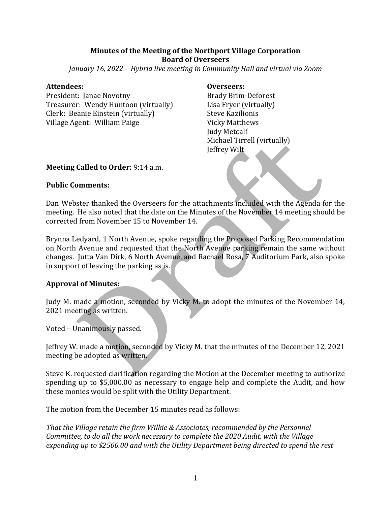#### **Minutes of the Meeting of the Northport Village Corporation Board of Overseers**

*January* 16, 2022 – *Hybrid live meeting in Community Hall and virtual via Zoom* 

#### **Attendees: Overseers:**

President: Ianae Novotny **Brady Brim-Deforest** Treasurer: Wendy Huntoon (virtually) Lisa Fryer (virtually) Clerk: Beanie Einstein (virtually) Steve Kazilionis Village Agent: William Paige Vicky Matthews

**Judy Metcalf** Michael Tirrell (virtually) Jeffrey Wilt

#### **Meeting Called to Order:** 9:14 a.m.

#### **Public Comments:**

Dan Webster thanked the Overseers for the attachments included with the Agenda for the meeting. He also noted that the date on the Minutes of the November 14 meeting should be corrected from November 15 to November 14.

Brynna Ledyard, 1 North Avenue, spoke regarding the Proposed Parking Recommendation on North Avenue and requested that the North Avenue parking remain the same without changes. Jutta Van Dirk, 6 North Avenue, and Rachael Rosa, 7 Auditorium Park, also spoke in support of leaving the parking as is.

#### **Approval of Minutes:**

Judy M. made a motion, seconded by Vicky M. to adopt the minutes of the November 14, 2021 meeting as written.

Voted - Unanimously passed.

Jeffrey W. made a motion, seconded by Vicky M. that the minutes of the December 12, 2021 meeting be adopted as written.

Steve K. requested clarification regarding the Motion at the December meeting to authorize spending up to  $$5,000.00$  as necessary to engage help and complete the Audit, and how these monies would be split with the Utility Department.

The motion from the December 15 minutes read as follows:

*That the Village retain the firm Wilkie & Associates, recommended by the Personnel Committee, to do all the work necessary to complete the 2020 Audit, with the Village* expending up to \$2500.00 and with the Utility Department being directed to spend the rest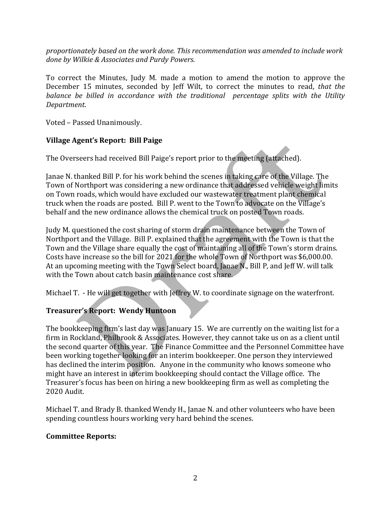*proportionately based on the work done. This recommendation was amended to include work* done by Wilkie & Associates and Purdy Powers.

To correct the Minutes, Judy M. made a motion to amend the motion to approve the December 15 minutes, seconded by Jeff Wilt, to correct the minutes to read, *that the balance be billed in accordance with the traditional percentage splits with the Utility Department*.

Voted - Passed Unanimously.

## **Village Agent's Report: Bill Paige**

The Overseers had received Bill Paige's report prior to the meeting (attached).

Janae N. thanked Bill P. for his work behind the scenes in taking care of the Village. The Town of Northport was considering a new ordinance that addressed vehicle weight limits on Town roads, which would have excluded our wastewater treatment plant chemical truck when the roads are posted. Bill P. went to the Town to advocate on the Village's behalf and the new ordinance allows the chemical truck on posted Town roads.

Judy M. questioned the cost sharing of storm drain maintenance between the Town of Northport and the Village. Bill P. explained that the agreement with the Town is that the Town and the Village share equally the cost of maintaining all of the Town's storm drains. Costs have increase so the bill for 2021 for the whole Town of Northport was \$6,000.00. At an upcoming meeting with the Town Select board, Janae N., Bill P, and Jeff W. will talk with the Town about catch basin maintenance cost share.

Michael T. - He will get together with Jeffrey W. to coordinate signage on the waterfront.

# **Treasurer's Report: Wendy Huntoon**

The bookkeeping firm's last day was January 15. We are currently on the waiting list for a firm in Rockland, Philbrook & Associates. However, they cannot take us on as a client until the second quarter of this year. The Finance Committee and the Personnel Committee have been working together looking for an interim bookkeeper. One person they interviewed has declined the interim position. Anyone in the community who knows someone who might have an interest in interim bookkeeping should contact the Village office. The Treasurer's focus has been on hiring a new bookkeeping firm as well as completing the 2020 Audit.

Michael T. and Brady B. thanked Wendy H., Janae N. and other volunteers who have been spending countless hours working very hard behind the scenes.

## **Committee Reports:**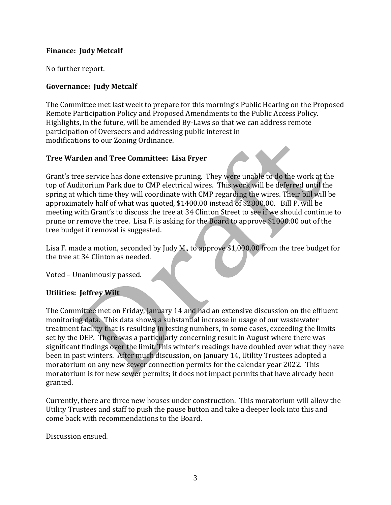### **Finance: Iudy Metcalf**

No further report.

## **Governance: Judy Metcalf**

The Committee met last week to prepare for this morning's Public Hearing on the Proposed Remote Participation Policy and Proposed Amendments to the Public Access Policy. Highlights, in the future, will be amended By-Laws so that we can address remote participation of Overseers and addressing public interest in modifications to our Zoning Ordinance.

### **Tree Warden and Tree Committee: Lisa Fryer**

Grant's tree service has done extensive pruning. They were unable to do the work at the top of Auditorium Park due to CMP electrical wires. This work will be deferred until the spring at which time they will coordinate with CMP regarding the wires. Their bill will be approximately half of what was quoted, \$1400.00 instead of \$2800.00. Bill P. will be meeting with Grant's to discuss the tree at 34 Clinton Street to see if we should continue to prune or remove the tree. Lisa F. is asking for the Board to approve \$1000.00 out of the tree budget if removal is suggested.

Lisa F. made a motion, seconded by Judy M., to approve \$1,000.00 from the tree budget for the tree at 34 Clinton as needed.

Voted - Unanimously passed.

## **Utilities: Jeffrey Wilt**

The Committee met on Friday, January 14 and had an extensive discussion on the effluent monitoring data. This data shows a substantial increase in usage of our wastewater treatment facility that is resulting in testing numbers, in some cases, exceeding the limits set by the DEP. There was a particularly concerning result in August where there was significant findings over the limit. This winter's readings have doubled over what they have been in past winters. After much discussion, on January 14, Utility Trustees adopted a moratorium on any new sewer connection permits for the calendar year 2022. This moratorium is for new sewer permits; it does not impact permits that have already been granted. 

Currently, there are three new houses under construction. This moratorium will allow the Utility Trustees and staff to push the pause button and take a deeper look into this and come back with recommendations to the Board.

Discussion ensued.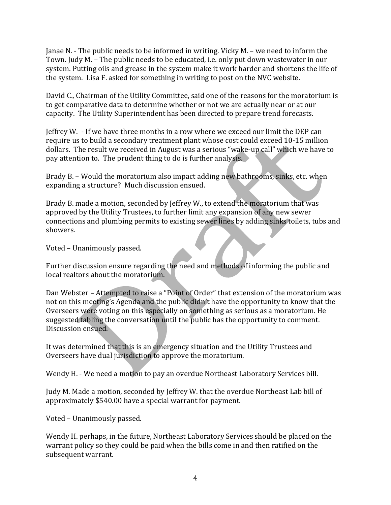Janae N. - The public needs to be informed in writing. Vicky M. – we need to inform the Town. Judy M. - The public needs to be educated, i.e. only put down wastewater in our system. Putting oils and grease in the system make it work harder and shortens the life of the system. Lisa F. asked for something in writing to post on the NVC website.

David C., Chairman of the Utility Committee, said one of the reasons for the moratorium is to get comparative data to determine whether or not we are actually near or at our capacity. The Utility Superintendent has been directed to prepare trend forecasts.

**Jeffrey W.** - If we have three months in a row where we exceed our limit the DEP can require us to build a secondary treatment plant whose cost could exceed 10-15 million dollars. The result we received in August was a serious "wake-up call" which we have to pay attention to. The prudent thing to do is further analysis.

Brady B. – Would the moratorium also impact adding new bathrooms, sinks, etc. when expanding a structure? Much discussion ensued.

Brady B. made a motion, seconded by Jeffrey W., to extend the moratorium that was approved by the Utility Trustees, to further limit any expansion of any new sewer connections and plumbing permits to existing sewer lines by adding sinks toilets, tubs and showers.

Voted - Unanimously passed.

Further discussion ensure regarding the need and methods of informing the public and local realtors about the moratorium.

Dan Webster – Attempted to raise a "Point of Order" that extension of the moratorium was not on this meeting's Agenda and the public didn't have the opportunity to know that the Overseers were voting on this especially on something as serious as a moratorium. He suggested tabling the conversation until the public has the opportunity to comment. Discussion ensued.

It was determined that this is an emergency situation and the Utility Trustees and Overseers have dual jurisdiction to approve the moratorium.

Wendy H. - We need a motion to pay an overdue Northeast Laboratory Services bill.

Judy M. Made a motion, seconded by Jeffrey W. that the overdue Northeast Lab bill of approximately \$540.00 have a special warrant for payment.

Voted - Unanimously passed.

Wendy H. perhaps, in the future, Northeast Laboratory Services should be placed on the warrant policy so they could be paid when the bills come in and then ratified on the subsequent warrant.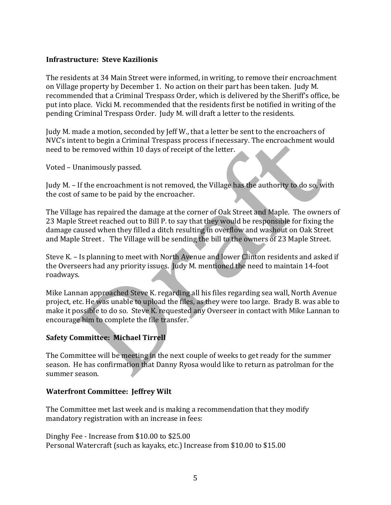#### **Infrastructure: Steve Kazilionis**

The residents at 34 Main Street were informed, in writing, to remove their encroachment on Village property by December 1. No action on their part has been taken. Judy M. recommended that a Criminal Trespass Order, which is delivered by the Sheriff's office, be put into place. Vicki M. recommended that the residents first be notified in writing of the pending Criminal Trespass Order. Judy M. will draft a letter to the residents.

Judy M. made a motion, seconded by Jeff W., that a letter be sent to the encroachers of NVC's intent to begin a Criminal Trespass process if necessary. The encroachment would need to be removed within 10 days of receipt of the letter.

Voted - Unanimously passed.

Judy M. – If the encroachment is not removed, the Village has the authority to do so, with the cost of same to be paid by the encroacher.

The Village has repaired the damage at the corner of Oak Street and Maple. The owners of 23 Maple Street reached out to Bill P. to say that they would be responsible for fixing the damage caused when they filled a ditch resulting in overflow and washout on Oak Street and Maple Street. The Village will be sending the bill to the owners of 23 Maple Street.

Steve K. – Is planning to meet with North Avenue and lower Clinton residents and asked if the Overseers had any priority issues. Judy M. mentioned the need to maintain 14-foot roadways.

Ŋ

Mike Lannan approached Steve K. regarding all his files regarding sea wall, North Avenue project, etc. He was unable to upload the files, as they were too large. Brady B. was able to make it possible to do so. Steve K. requested any Overseer in contact with Mike Lannan to encourage him to complete the file transfer.

## **Safety Committee: Michael Tirrell**

The Committee will be meeting in the next couple of weeks to get ready for the summer season. He has confirmation that Danny Ryosa would like to return as patrolman for the summer season.

#### **Waterfront Committee: Jeffrey Wilt**

The Committee met last week and is making a recommendation that they modify mandatory registration with an increase in fees:

Dinghy Fee - Increase from \$10.00 to \$25.00 Personal Watercraft (such as kayaks, etc.) Increase from \$10.00 to \$15.00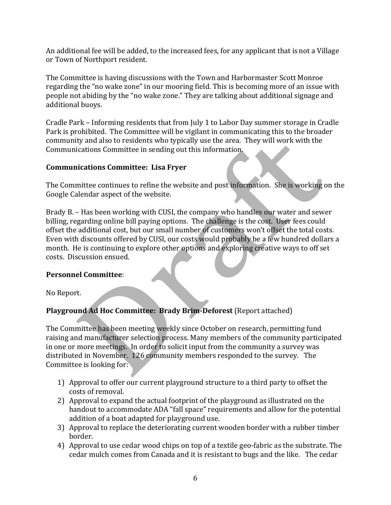An additional fee will be added, to the increased fees, for any applicant that is not a Village or Town of Northport resident.

The Committee is having discussions with the Town and Harbormaster Scott Monroe regarding the "no wake zone" in our mooring field. This is becoming more of an issue with people not abiding by the "no wake zone." They are talking about additional signage and additional buoys.

Cradle Park – Informing residents that from July 1 to Labor Day summer storage in Cradle Park is prohibited. The Committee will be vigilant in communicating this to the broader community and also to residents who typically use the area. They will work with the Communications Committee in sending out this information.

### **Communications Committee: Lisa Fryer**

The Committee continues to refine the website and post information. She is working on the Google Calendar aspect of the website.

Brady B. – Has been working with CUSI, the company who handles our water and sewer billing, regarding online bill paying options. The challenge is the cost. User fees could offset the additional cost, but our small number of customers won't offset the total costs. Even with discounts offered by CUSI, our costs would probably be a few hundred dollars a month. He is continuing to explore other options and exploring creative ways to off set costs. Discussion ensued.

## **Personnel Committee**:

No Report.

# **Playground Ad Hoc Committee: Brady Brim-Deforest** (Report attached)

The Committee has been meeting weekly since October on research, permitting fund raising and manufacturer selection process. Many members of the community participated in one or more meetings. In order to solicit input from the community a survey was distributed in November. 126 community members responded to the survey. The Committee is looking for:

- 1) Approval to offer our current playground structure to a third party to offset the costs of removal.
- 2) Approval to expand the actual footprint of the playground as illustrated on the handout to accommodate ADA "fall space" requirements and allow for the potential addition of a boat adapted for playground use.
- 3) Approval to replace the deteriorating current wooden border with a rubber timber border.
- 4) Approval to use cedar wood chips on top of a textile geo-fabric as the substrate. The cedar mulch comes from Canada and it is resistant to bugs and the like. The cedar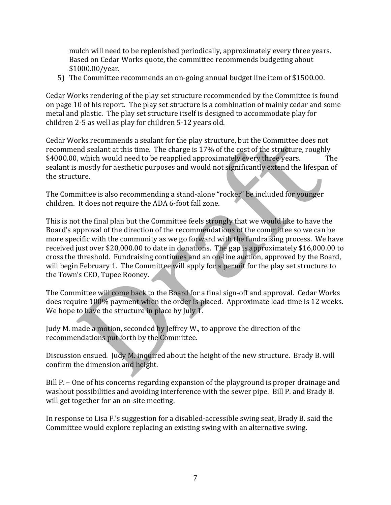mulch will need to be replenished periodically, approximately every three years. Based on Cedar Works quote, the committee recommends budgeting about \$1000.00/year.

5) The Committee recommends an on-going annual budget line item of \$1500.00.

Cedar Works rendering of the play set structure recommended by the Committee is found on page 10 of his report. The play set structure is a combination of mainly cedar and some metal and plastic. The play set structure itself is designed to accommodate play for children 2-5 as well as play for children 5-12 years old.

Cedar Works recommends a sealant for the play structure, but the Committee does not recommend sealant at this time. The charge is 17% of the cost of the structure, roughly \$4000.00, which would need to be reapplied approximately every three years. The sealant is mostly for aesthetic purposes and would not significantly extend the lifespan of the structure.

The Committee is also recommending a stand-alone "rocker" be included for younger children. It does not require the ADA 6-foot fall zone.

This is not the final plan but the Committee feels strongly that we would like to have the Board's approval of the direction of the recommendations of the committee so we can be more specific with the community as we go forward with the fundraising process. We have received just over \$20,000.00 to date in donations. The gap is approximately \$16,000.00 to cross the threshold. Fundraising continues and an on-line auction, approved by the Board, will begin February 1. The Committee will apply for a permit for the play set structure to the Town's CEO, Tupee Rooney.

The Committee will come back to the Board for a final sign-off and approval. Cedar Works does require 100% payment when the order is placed. Approximate lead-time is 12 weeks. We hope to have the structure in place by July 1.

Judy M. made a motion, seconded by Jeffrey W., to approve the direction of the recommendations put forth by the Committee.

Discussion ensued. Judy M. inquired about the height of the new structure. Brady B. will confirm the dimension and height.

Bill P. – One of his concerns regarding expansion of the playground is proper drainage and washout possibilities and avoiding interference with the sewer pipe. Bill P. and Brady B. will get together for an on-site meeting.

In response to Lisa F.'s suggestion for a disabled-accessible swing seat, Brady B. said the Committee would explore replacing an existing swing with an alternative swing.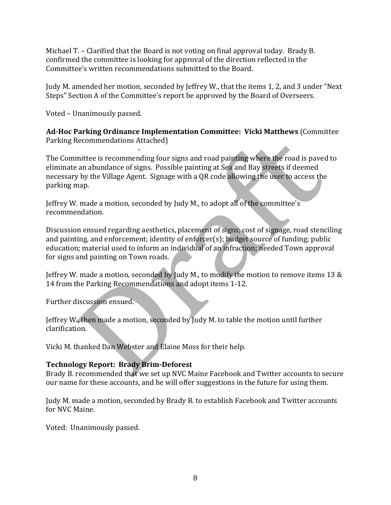Michael  $T -$  Clarified that the Board is not voting on final approval today. Brady B. confirmed the committee is looking for approval of the direction reflected in the Committee's written recommendations submitted to the Board.

Judy M. amended her motion, seconded by Jeffrey W., that the items 1, 2, and 3 under "Next Steps" Section A of the Committee's report be approved by the Board of Overseers.

Voted - Unanimously passed.

**Ad-Hoc Parking Ordinance Implementation Committee: Vicki Matthews** (Committee Parking Recommendations Attached)

- The Committee is recommending four signs and road painting where the road is paved to eliminate an abundance of signs. Possible painting at Sea and Bay streets if deemed necessary by the Village Agent. Signage with a QR code allowing the user to access the parking map.

Jeffrey W. made a motion, seconded by Judy M., to adopt all of the committee's recommendation.

Discussion ensued regarding aesthetics, placement of signs; cost of signage, road stenciling and painting, and enforcement; identity of enforcer(s); budget source of funding; public education; material used to inform an individual of an infraction; needed Town approval for signs and painting on Town roads.

Jeffrey W. made a motion, seconded by Judy M., to modify the motion to remove items 13  $\&$ 14 from the Parking Recommendations and adopt items 1-12.

Further discussion ensued.

Jeffrey W., then made a motion, seconded by Judy M. to table the motion until further clarification.

Vicki M. thanked Dan Webster and Elaine Moss for their help.

## **Technology Report: Brady Brim-Deforest**

Brady B. recommended that we set up NVC Maine Facebook and Twitter accounts to secure our name for these accounts, and he will offer suggestions in the future for using them.

Judy M. made a motion, seconded by Brady B. to establish Facebook and Twitter accounts for NVC Maine.

Voted: Unanimously passed.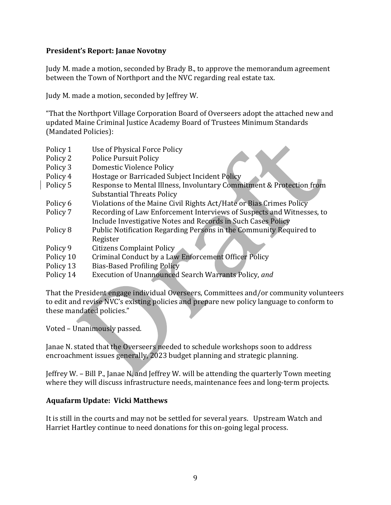#### **President's Report: Janae Novotny**

Judy M. made a motion, seconded by Brady B., to approve the memorandum agreement between the Town of Northport and the NVC regarding real estate tax.

Judy M. made a motion, seconded by Jeffrey W.

"That the Northport Village Corporation Board of Overseers adopt the attached new and updated Maine Criminal Justice Academy Board of Trustees Minimum Standards (Mandated Policies):

- Policy 1 Use of Physical Force Policy
- Policy 2 Police Pursuit Policy
- Policy 3 Domestic Violence Policy
- Policy 4 Hostage or Barricaded Subject Incident Policy
- Policy 5 Response to Mental Illness, Involuntary Commitment & Protection from Substantial Threats Policy
- Policy 6 Violations of the Maine Civil Rights Act/Hate or Bias Crimes Policy
- Policy 7 Recording of Law Enforcement Interviews of Suspects and Witnesses, to Include Investigative Notes and Records in Such Cases Policy
- Policy 8 Public Notification Regarding Persons in the Community Required to Register
- Policy 9 Citizens Complaint Policy
- Policy 10 Criminal Conduct by a Law Enforcement Officer Policy
- Policy 13 Bias-Based Profiling Policy
- Policy 14 Execution of Unannounced Search Warrants Policy, and

That the President engage individual Overseers, Committees and/or community volunteers to edit and revise NVC's existing policies and prepare new policy language to conform to these mandated policies."

Voted - Unanimously passed.

Janae N. stated that the Overseers needed to schedule workshops soon to address encroachment issues generally, 2023 budget planning and strategic planning.

Leffrey W. – Bill P., Janae N. and Jeffrey W. will be attending the quarterly Town meeting where they will discuss infrastructure needs, maintenance fees and long-term projects.

## **Aquafarm Update: Vicki Matthews**

It is still in the courts and may not be settled for several years. Upstream Watch and Harriet Hartley continue to need donations for this on-going legal process.